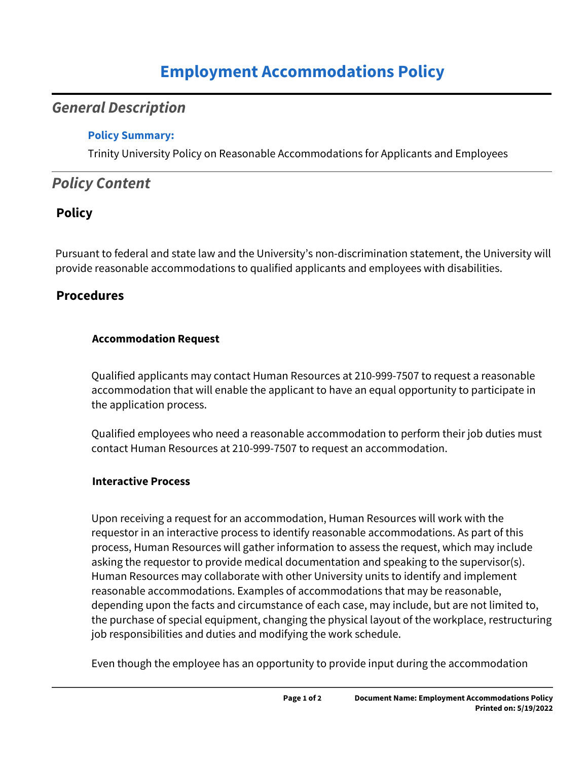# **Employment Accommodations Policy**

## *General Description*

#### **Policy Summary:**

Trinity University Policy on Reasonable Accommodations for Applicants and Employees

## *Policy Content*

### **Policy**

Pursuant to federal and state law and the University's non-discrimination statement, the University will provide reasonable accommodations to qualified applicants and employees with disabilities.

### **Procedures**

#### **Accommodation Request**

Qualified applicants may contact Human Resources at 210-999-7507 to request a reasonable accommodation that will enable the applicant to have an equal opportunity to participate in the application process.

Qualified employees who need a reasonable accommodation to perform their job duties must contact Human Resources at 210-999-7507 to request an accommodation.

#### **Interactive Process**

Upon receiving a request for an accommodation, Human Resources will work with the requestor in an interactive process to identify reasonable accommodations. As part of this process, Human Resources will gather information to assess the request, which may include asking the requestor to provide medical documentation and speaking to the supervisor(s). Human Resources may collaborate with other University units to identify and implement reasonable accommodations. Examples of accommodations that may be reasonable, depending upon the facts and circumstance of each case, may include, but are not limited to, the purchase of special equipment, changing the physical layout of the workplace, restructuring job responsibilities and duties and modifying the work schedule.

Even though the employee has an opportunity to provide input during the accommodation